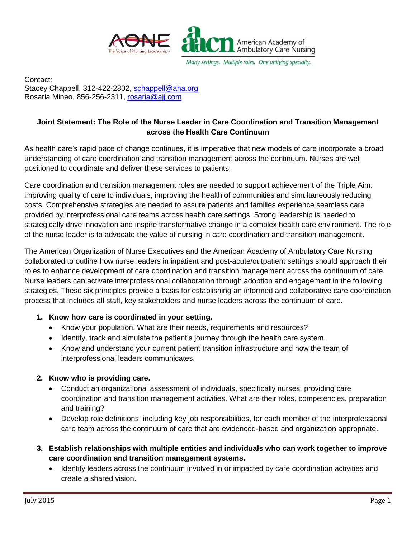

Contact: Stacey Chappell, 312-422-2802, [schappell@aha.org](mailto:schappell@aha.org) Rosaria Mineo, 856-256-2311, [rosaria@ajj.com](mailto:rosaria@ajj.com/)

# **Joint Statement: The Role of the Nurse Leader in Care Coordination and Transition Management across the Health Care Continuum**

As health care's rapid pace of change continues, it is imperative that new models of care incorporate a broad understanding of care coordination and transition management across the continuum. Nurses are well positioned to coordinate and deliver these services to patients.

Care coordination and transition management roles are needed to support achievement of the Triple Aim: improving quality of care to individuals, improving the health of communities and simultaneously reducing costs. Comprehensive strategies are needed to assure patients and families experience seamless care provided by interprofessional care teams across health care settings. Strong leadership is needed to strategically drive innovation and inspire transformative change in a complex health care environment. The role of the nurse leader is to advocate the value of nursing in care coordination and transition management.

The American Organization of Nurse Executives and the American Academy of Ambulatory Care Nursing collaborated to outline how nurse leaders in inpatient and post-acute/outpatient settings should approach their roles to enhance development of care coordination and transition management across the continuum of care. Nurse leaders can activate interprofessional collaboration through adoption and engagement in the following strategies. These six principles provide a basis for establishing an informed and collaborative care coordination process that includes all staff, key stakeholders and nurse leaders across the continuum of care.

# **1. Know how care is coordinated in your setting.**

- Know your population. What are their needs, requirements and resources?
- Identify, track and simulate the patient's journey through the health care system.
- Know and understand your current patient transition infrastructure and how the team of interprofessional leaders communicates.

### **2. Know who is providing care.**

- Conduct an organizational assessment of individuals, specifically nurses, providing care coordination and transition management activities. What are their roles, competencies, preparation and training?
- Develop role definitions, including key job responsibilities, for each member of the interprofessional care team across the continuum of care that are evidenced-based and organization appropriate.
- **3. Establish relationships with multiple entities and individuals who can work together to improve care coordination and transition management systems.**
	- Identify leaders across the continuum involved in or impacted by care coordination activities and create a shared vision.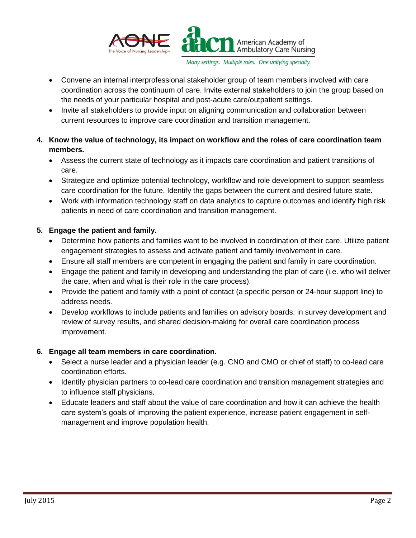

- Convene an internal interprofessional stakeholder group of team members involved with care coordination across the continuum of care. Invite external stakeholders to join the group based on the needs of your particular hospital and post-acute care/outpatient settings.
- Invite all stakeholders to provide input on aligning communication and collaboration between current resources to improve care coordination and transition management.
- **4. Know the value of technology, its impact on workflow and the roles of care coordination team members.**
	- Assess the current state of technology as it impacts care coordination and patient transitions of care.
	- Strategize and optimize potential technology, workflow and role development to support seamless care coordination for the future. Identify the gaps between the current and desired future state.
	- Work with information technology staff on data analytics to capture outcomes and identify high risk patients in need of care coordination and transition management.

# **5. Engage the patient and family.**

- Determine how patients and families want to be involved in coordination of their care. Utilize patient engagement strategies to assess and activate patient and family involvement in care.
- Ensure all staff members are competent in engaging the patient and family in care coordination.
- Engage the patient and family in developing and understanding the plan of care (i.e. who will deliver the care, when and what is their role in the care process).
- Provide the patient and family with a point of contact (a specific person or 24-hour support line) to address needs.
- Develop workflows to include patients and families on advisory boards, in survey development and review of survey results, and shared decision-making for overall care coordination process improvement.

# **6. Engage all team members in care coordination.**

- Select a nurse leader and a physician leader (e.g. CNO and CMO or chief of staff) to co-lead care coordination efforts.
- Identify physician partners to co-lead care coordination and transition management strategies and to influence staff physicians.
- Educate leaders and staff about the value of care coordination and how it can achieve the health care system's goals of improving the patient experience, increase patient engagement in selfmanagement and improve population health.